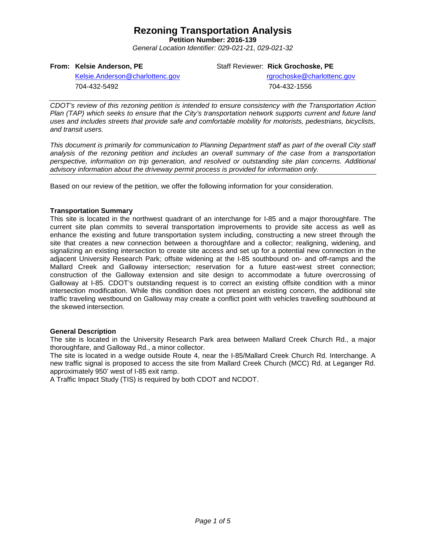**Petition Number: 2016-139**

*General Location Identifier: 029-021-21, 029-021-32*

### **From: Kelsie Anderson, PE**

Staff Reviewer: **Rick Grochoske, PE**

[Kelsie.Anderson@charlottenc.gov](mailto:Kelsie.Anderson@charlottenc.gov) 704-432-5492

rgrochoske@charlottenc.gov 704-432-1556

*CDOT's review of this rezoning petition is intended to ensure consistency with the Transportation Action Plan (TAP) which seeks to ensure that the City's transportation network supports current and future land uses and includes streets that provide safe and comfortable mobility for motorists, pedestrians, bicyclists, and transit users.*

*This document is primarily for communication to Planning Department staff as part of the overall City staff analysis of the rezoning petition and includes an overall summary of the case from a transportation perspective, information on trip generation, and resolved or outstanding site plan concerns. Additional advisory information about the driveway permit process is provided for information only.*

Based on our review of the petition, we offer the following information for your consideration.

### **Transportation Summary**

This site is located in the northwest quadrant of an interchange for I-85 and a major thoroughfare. The current site plan commits to several transportation improvements to provide site access as well as enhance the existing and future transportation system including, constructing a new street through the site that creates a new connection between a thoroughfare and a collector; realigning, widening, and signalizing an existing intersection to create site access and set up for a potential new connection in the adjacent University Research Park; offsite widening at the I-85 southbound on- and off-ramps and the Mallard Creek and Galloway intersection; reservation for a future east-west street connection; construction of the Galloway extension and site design to accommodate a future overcrossing of Galloway at I-85. CDOT's outstanding request is to correct an existing offsite condition with a minor intersection modification. While this condition does not present an existing concern, the additional site traffic traveling westbound on Galloway may create a conflict point with vehicles travelling southbound at the skewed intersection.

### **General Description**

The site is located in the University Research Park area between Mallard Creek Church Rd., a major thoroughfare, and Galloway Rd., a minor collector.

The site is located in a wedge outside Route 4, near the I-85/Mallard Creek Church Rd. Interchange. A new traffic signal is proposed to access the site from Mallard Creek Church (MCC) Rd. at Leganger Rd. approximately 950' west of I-85 exit ramp.

A Traffic Impact Study (TIS) is required by both CDOT and NCDOT.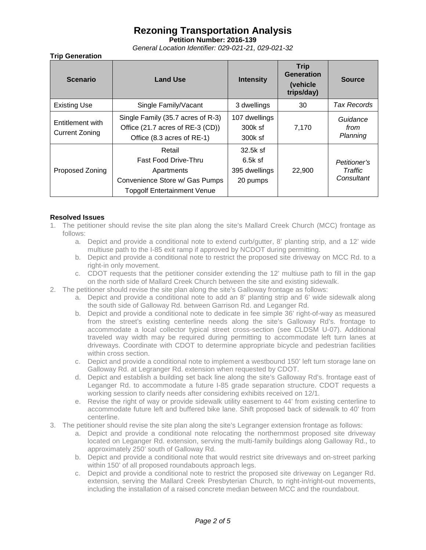**Petition Number: 2016-139**

*General Location Identifier: 029-021-21, 029-021-32*

## **Trip Generation**

| <b>Scenario</b>                           | <b>Land Use</b>                                                                                                             | <b>Intensity</b>                                   | <b>Trip</b><br>Generation<br>(vehicle)<br>trips/day) | <b>Source</b>                         |
|-------------------------------------------|-----------------------------------------------------------------------------------------------------------------------------|----------------------------------------------------|------------------------------------------------------|---------------------------------------|
| <b>Existing Use</b>                       | Single Family/Vacant                                                                                                        | 3 dwellings                                        | 30                                                   | <b>Tax Records</b>                    |
| Entitlement with<br><b>Current Zoning</b> | Single Family (35.7 acres of R-3)<br>Office (21.7 acres of RE-3 (CD))<br>Office (8.3 acres of RE-1)                         | 107 dwellings<br>300k sf<br>300k sf                | 7.170                                                | Guidance<br>from<br>Planning          |
| <b>Proposed Zoning</b>                    | Retail<br><b>Fast Food Drive-Thru</b><br>Apartments<br>Convenience Store w/ Gas Pumps<br><b>Topgolf Entertainment Venue</b> | 32.5k sf<br>$6.5k$ sf<br>395 dwellings<br>20 pumps | 22,900                                               | Petitioner's<br>Traffic<br>Consultant |

## **Resolved Issues**

- 1. The petitioner should revise the site plan along the site's Mallard Creek Church (MCC) frontage as follows:
	- a. Depict and provide a conditional note to extend curb/gutter, 8' planting strip, and a 12' wide multiuse path to the I-85 exit ramp if approved by NCDOT during permitting.
	- b. Depict and provide a conditional note to restrict the proposed site driveway on MCC Rd. to a right-in only movement.
	- c. CDOT requests that the petitioner consider extending the 12' multiuse path to fill in the gap on the north side of Mallard Creek Church between the site and existing sidewalk.
- 2. The petitioner should revise the site plan along the site's Galloway frontage as follows:
	- a. Depict and provide a conditional note to add an 8' planting strip and 6' wide sidewalk along the south side of Galloway Rd. between Garrison Rd. and Leganger Rd.
	- b. Depict and provide a conditional note to dedicate in fee simple 36' right-of-way as measured from the street's existing centerline needs along the site's Galloway Rd's. frontage to accommodate a local collector typical street cross-section (see CLDSM U-07). Additional traveled way width may be required during permitting to accommodate left turn lanes at driveways. Coordinate with CDOT to determine appropriate bicycle and pedestrian facilities within cross section.
	- c. Depict and provide a conditional note to implement a westbound 150' left turn storage lane on Galloway Rd. at Legranger Rd. extension when requested by CDOT.
	- d. Depict and establish a building set back line along the site's Galloway Rd's. frontage east of Leganger Rd. to accommodate a future I-85 grade separation structure. CDOT requests a working session to clarify needs after considering exhibits received on 12/1.
	- e. Revise the right of way or provide sidewalk utility easement to 44' from existing centerline to accommodate future left and buffered bike lane. Shift proposed back of sidewalk to 40' from centerline.
- 3. The petitioner should revise the site plan along the site's Legranger extension frontage as follows:
	- a. Depict and provide a conditional note relocating the northernmost proposed site driveway located on Leganger Rd. extension, serving the multi-family buildings along Galloway Rd., to approximately 250' south of Galloway Rd.
	- b. Depict and provide a conditional note that would restrict site driveways and on-street parking within 150' of all proposed roundabouts approach legs.
	- c. Depict and provide a conditional note to restrict the proposed site driveway on Leganger Rd. extension, serving the Mallard Creek Presbyterian Church, to right-in/right-out movements, including the installation of a raised concrete median between MCC and the roundabout.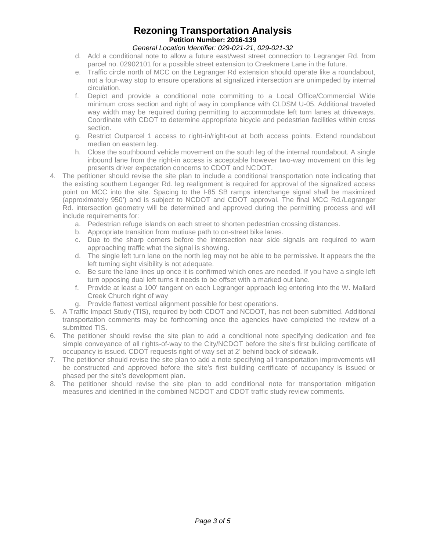## **Rezoning Transportation Analysis Petition Number: 2016-139**

## *General Location Identifier: 029-021-21, 029-021-32*

- d. Add a conditional note to allow a future east/west street connection to Legranger Rd. from parcel no. 02902101 for a possible street extension to Creekmere Lane in the future.
- e. Traffic circle north of MCC on the Legranger Rd extension should operate like a roundabout, not a four-way stop to ensure operations at signalized intersection are unimpeded by internal circulation.
- f. Depict and provide a conditional note committing to a Local Office/Commercial Wide minimum cross section and right of way in compliance with CLDSM U-05. Additional traveled way width may be required during permitting to accommodate left turn lanes at driveways. Coordinate with CDOT to determine appropriate bicycle and pedestrian facilities within cross section.
- g. Restrict Outparcel 1 access to right-in/right-out at both access points. Extend roundabout median on eastern leg.
- h. Close the southbound vehicle movement on the south leg of the internal roundabout. A single inbound lane from the right-in access is acceptable however two-way movement on this leg presents driver expectation concerns to CDOT and NCDOT.
- 4. The petitioner should revise the site plan to include a conditional transportation note indicating that the existing southern Leganger Rd. leg realignment is required for approval of the signalized access point on MCC into the site. Spacing to the I-85 SB ramps interchange signal shall be maximized (approximately 950') and is subject to NCDOT and CDOT approval. The final MCC Rd./Legranger Rd. intersection geometry will be determined and approved during the permitting process and will include requirements for:
	- a. Pedestrian refuge islands on each street to shorten pedestrian crossing distances.
	- b. Appropriate transition from mutiuse path to on-street bike lanes.
	- c. Due to the sharp corners before the intersection near side signals are required to warn approaching traffic what the signal is showing.
	- d. The single left turn lane on the north leg may not be able to be permissive. It appears the the left turning sight visibility is not adequate.
	- e. Be sure the lane lines up once it is confirmed which ones are needed. If you have a single left turn opposing dual left turns it needs to be offset with a marked out lane.
	- f. Provide at least a 100' tangent on each Legranger approach leg entering into the W. Mallard Creek Church right of way
	- g. Provide flattest vertical alignment possible for best operations.
- 5. A Traffic Impact Study (TIS), required by both CDOT and NCDOT, has not been submitted. Additional transportation comments may be forthcoming once the agencies have completed the review of a submitted TIS.
- 6. The petitioner should revise the site plan to add a conditional note specifying dedication and fee simple conveyance of all rights-of-way to the City/NCDOT before the site's first building certificate of occupancy is issued. CDOT requests right of way set at 2' behind back of sidewalk.
- 7. The petitioner should revise the site plan to add a note specifying all transportation improvements will be constructed and approved before the site's first building certificate of occupancy is issued or phased per the site's development plan.
- 8. The petitioner should revise the site plan to add conditional note for transportation mitigation measures and identified in the combined NCDOT and CDOT traffic study review comments.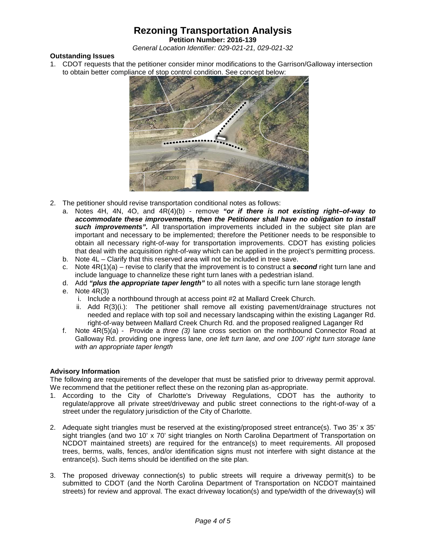**Petition Number: 2016-139**

*General Location Identifier: 029-021-21, 029-021-32*

### **Outstanding Issues**

1. CDOT requests that the petitioner consider minor modifications to the Garrison/Galloway intersection to obtain better compliance of stop control condition. See concept below:



- 2. The petitioner should revise transportation conditional notes as follows:
	- a. Notes 4H, 4N, 4O, and 4R(4)(b) remove *"or if there is not existing right–of-way to accommodate these improvements, then the Petitioner shall have no obligation to install*  **such improvements".** All transportation improvements included in the subject site plan are important and necessary to be implemented; therefore the Petitioner needs to be responsible to obtain all necessary right-of-way for transportation improvements. CDOT has existing policies that deal with the acquisition right-of-way which can be applied in the project's permitting process.
	- b. Note 4L Clarify that this reserved area will not be included in tree save.
	- c. Note 4R(1)(a) revise to clarify that the improvement is to construct a *second* right turn lane and include language to channelize these right turn lanes with a pedestrian island.
	- d. Add *"plus the appropriate taper length"* to all notes with a specific turn lane storage length
	- e. Note 4R(3)
		- i. Include a northbound through at access point #2 at Mallard Creek Church.
		- ii. Add R(3)(i.): The petitioner shall remove all existing pavement/drainage structures not needed and replace with top soil and necessary landscaping within the existing Laganger Rd. right-of-way between Mallard Creek Church Rd. and the proposed realigned Laganger Rd
	- f. Note 4R(5)(a) Provide a *three (3)* lane cross section on the northbound Connector Road at Galloway Rd. providing one ingress lane, *one left turn lane, and one 100' right turn storage lane with an appropriate taper length*

### **Advisory Information**

The following are requirements of the developer that must be satisfied prior to driveway permit approval. We recommend that the petitioner reflect these on the rezoning plan as-appropriate.

- 1. According to the City of Charlotte's Driveway Regulations, CDOT has the authority to regulate/approve all private street/driveway and public street connections to the right-of-way of a street under the regulatory jurisdiction of the City of Charlotte.
- 2. Adequate sight triangles must be reserved at the existing/proposed street entrance(s). Two 35' x 35' sight triangles (and two 10' x 70' sight triangles on North Carolina Department of Transportation on NCDOT maintained streets) are required for the entrance(s) to meet requirements. All proposed trees, berms, walls, fences, and/or identification signs must not interfere with sight distance at the entrance(s). Such items should be identified on the site plan.
- 3. The proposed driveway connection(s) to public streets will require a driveway permit(s) to be submitted to CDOT (and the North Carolina Department of Transportation on NCDOT maintained streets) for review and approval. The exact driveway location(s) and type/width of the driveway(s) will